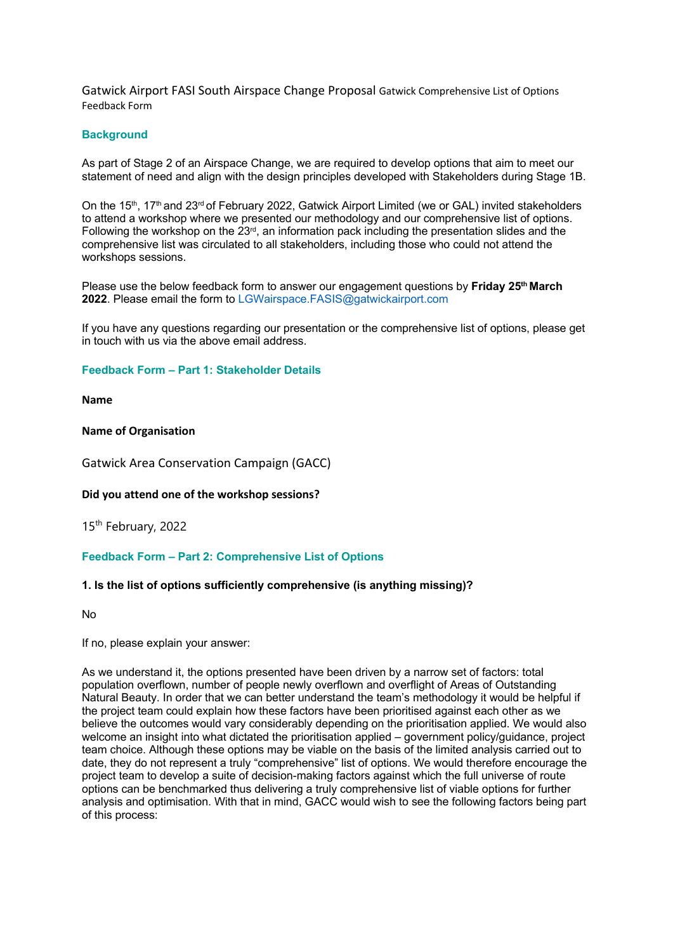Gatwick Airport FASI South Airspace Change Proposal Gatwick Comprehensive List of Options Feedback Form

#### **Background**

As part of Stage 2 of an Airspace Change, we are required to develop options that aim to meet our statement of need and align with the design principles developed with Stakeholders during Stage 1B.

On the 15<sup>th</sup>, 17<sup>th</sup> and 23<sup>rd</sup> of February 2022, Gatwick Airport Limited (we or GAL) invited stakeholders to attend a workshop where we presented our methodology and our comprehensive list of options. Following the workshop on the  $23<sup>rd</sup>$ , an information pack including the presentation slides and the comprehensive list was circulated to all stakeholders, including those who could not attend the workshops sessions.

Please use the below feedback form to answer our engagement questions by **Friday 25th March 2022**. Please email the form to LGWairspace.FASIS@gatwickairport.com

If you have any questions regarding our presentation or the comprehensive list of options, please get in touch with us via the above email address.

### **Feedback Form – Part 1: Stakeholder Details**

**Name** 

#### **Name of Organisation**

Gatwick Area Conservation Campaign (GACC)

#### **Did you attend one of the workshop sessions?**

15th February, 2022

#### **Feedback Form – Part 2: Comprehensive List of Options**

#### **1. Is the list of options sufficiently comprehensive (is anything missing)?**

No

If no, please explain your answer:

As we understand it, the options presented have been driven by a narrow set of factors: total population overflown, number of people newly overflown and overflight of Areas of Outstanding Natural Beauty. In order that we can better understand the team's methodology it would be helpful if the project team could explain how these factors have been prioritised against each other as we believe the outcomes would vary considerably depending on the prioritisation applied. We would also welcome an insight into what dictated the prioritisation applied – government policy/guidance, project team choice. Although these options may be viable on the basis of the limited analysis carried out to date, they do not represent a truly "comprehensive" list of options. We would therefore encourage the project team to develop a suite of decision-making factors against which the full universe of route options can be benchmarked thus delivering a truly comprehensive list of viable options for further analysis and optimisation. With that in mind, GACC would wish to see the following factors being part of this process: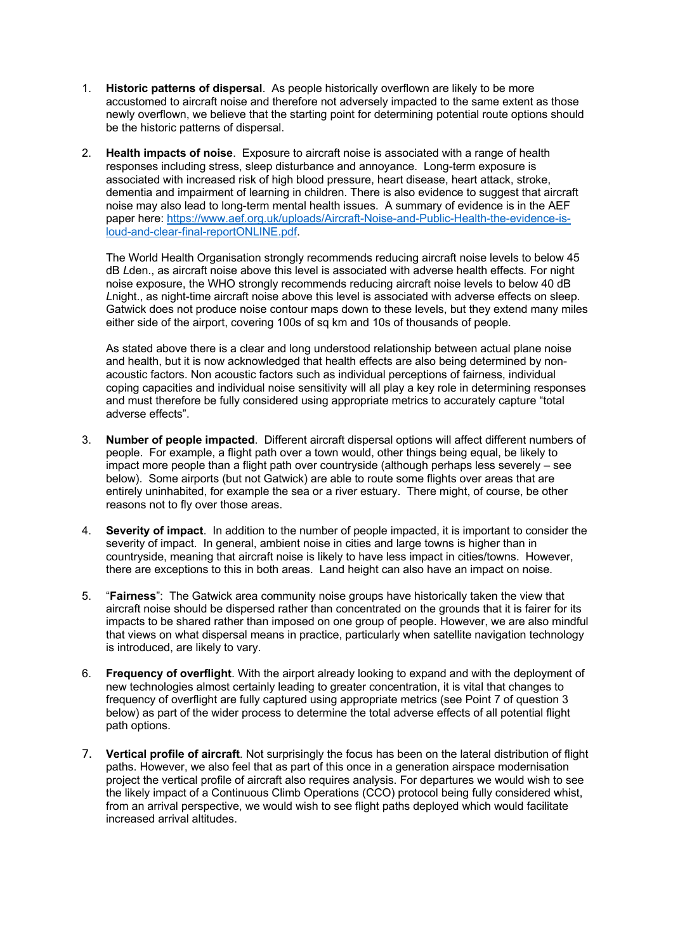- 1. **Historic patterns of dispersal**. As people historically overflown are likely to be more accustomed to aircraft noise and therefore not adversely impacted to the same extent as those newly overflown, we believe that the starting point for determining potential route options should be the historic patterns of dispersal.
- 2. **Health impacts of noise**. Exposure to aircraft noise is associated with a range of health responses including stress, sleep disturbance and annoyance. Long-term exposure is associated with increased risk of high blood pressure, heart disease, heart attack, stroke, dementia and impairment of learning in children. There is also evidence to suggest that aircraft noise may also lead to long-term mental health issues. A summary of evidence is in the AEF paper here: https://www.aef.org.uk/uploads/Aircraft-Noise-and-Public-Health-the-evidence-isloud-and-clear-final-reportONLINE.pdf.

The World Health Organisation strongly recommends reducing aircraft noise levels to below 45 dB *L*den., as aircraft noise above this level is associated with adverse health effects*.* For night noise exposure, the WHO strongly recommends reducing aircraft noise levels to below 40 dB *L*night., as night-time aircraft noise above this level is associated with adverse effects on sleep*.*  Gatwick does not produce noise contour maps down to these levels, but they extend many miles either side of the airport, covering 100s of sq km and 10s of thousands of people.

As stated above there is a clear and long understood relationship between actual plane noise and health, but it is now acknowledged that health effects are also being determined by nonacoustic factors. Non acoustic factors such as individual perceptions of fairness, individual coping capacities and individual noise sensitivity will all play a key role in determining responses and must therefore be fully considered using appropriate metrics to accurately capture "total adverse effects".

- 3. **Number of people impacted**. Different aircraft dispersal options will affect different numbers of people. For example, a flight path over a town would, other things being equal, be likely to impact more people than a flight path over countryside (although perhaps less severely – see below). Some airports (but not Gatwick) are able to route some flights over areas that are entirely uninhabited, for example the sea or a river estuary. There might, of course, be other reasons not to fly over those areas.
- 4. **Severity of impact**. In addition to the number of people impacted, it is important to consider the severity of impact. In general, ambient noise in cities and large towns is higher than in countryside, meaning that aircraft noise is likely to have less impact in cities/towns. However, there are exceptions to this in both areas. Land height can also have an impact on noise.
- 5. "**Fairness**": The Gatwick area community noise groups have historically taken the view that aircraft noise should be dispersed rather than concentrated on the grounds that it is fairer for its impacts to be shared rather than imposed on one group of people. However, we are also mindful that views on what dispersal means in practice, particularly when satellite navigation technology is introduced, are likely to vary.
- 6. **Frequency of overflight**. With the airport already looking to expand and with the deployment of new technologies almost certainly leading to greater concentration, it is vital that changes to frequency of overflight are fully captured using appropriate metrics (see Point 7 of question 3 below) as part of the wider process to determine the total adverse effects of all potential flight path options.
- 7. **Vertical profile of aircraft**. Not surprisingly the focus has been on the lateral distribution of flight paths. However, we also feel that as part of this once in a generation airspace modernisation project the vertical profile of aircraft also requires analysis. For departures we would wish to see the likely impact of a Continuous Climb Operations (CCO) protocol being fully considered whist, from an arrival perspective, we would wish to see flight paths deployed which would facilitate increased arrival altitudes.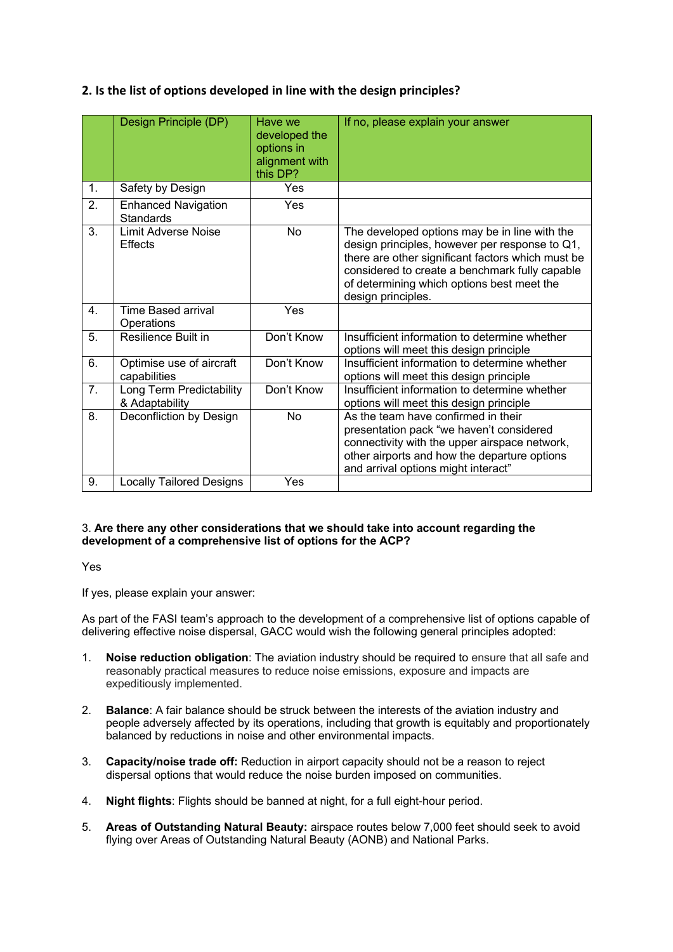# **2. Is the list of options developed in line with the design principles?**

|                | Design Principle (DP)                      | Have we<br>developed the<br>options in<br>alignment with<br>this DP? | If no, please explain your answer                                                                                                                                                                                                                                          |
|----------------|--------------------------------------------|----------------------------------------------------------------------|----------------------------------------------------------------------------------------------------------------------------------------------------------------------------------------------------------------------------------------------------------------------------|
| $\mathbf{1}$ . | Safety by Design                           | Yes                                                                  |                                                                                                                                                                                                                                                                            |
| 2.             | <b>Enhanced Navigation</b><br>Standards    | Yes                                                                  |                                                                                                                                                                                                                                                                            |
| 3.             | Limit Adverse Noise<br><b>Effects</b>      | <b>No</b>                                                            | The developed options may be in line with the<br>design principles, however per response to Q1,<br>there are other significant factors which must be<br>considered to create a benchmark fully capable<br>of determining which options best meet the<br>design principles. |
| 4.             | <b>Time Based arrival</b><br>Operations    | Yes                                                                  |                                                                                                                                                                                                                                                                            |
| 5.             | Resilience Built in                        | Don't Know                                                           | Insufficient information to determine whether<br>options will meet this design principle                                                                                                                                                                                   |
| 6.             | Optimise use of aircraft<br>capabilities   | Don't Know                                                           | Insufficient information to determine whether<br>options will meet this design principle                                                                                                                                                                                   |
| 7.             | Long Term Predictability<br>& Adaptability | Don't Know                                                           | Insufficient information to determine whether<br>options will meet this design principle                                                                                                                                                                                   |
| 8.             | Deconfliction by Design                    | No                                                                   | As the team have confirmed in their<br>presentation pack "we haven't considered<br>connectivity with the upper airspace network,<br>other airports and how the departure options<br>and arrival options might interact"                                                    |
| 9.             | <b>Locally Tailored Designs</b>            | Yes                                                                  |                                                                                                                                                                                                                                                                            |

## 3. **Are there any other considerations that we should take into account regarding the development of a comprehensive list of options for the ACP?**

Yes

If yes, please explain your answer:

As part of the FASI team's approach to the development of a comprehensive list of options capable of delivering effective noise dispersal, GACC would wish the following general principles adopted:

- 1. **Noise reduction obligation**: The aviation industry should be required to ensure that all safe and reasonably practical measures to reduce noise emissions, exposure and impacts are expeditiously implemented.
- 2. **Balance**: A fair balance should be struck between the interests of the aviation industry and people adversely affected by its operations, including that growth is equitably and proportionately balanced by reductions in noise and other environmental impacts.
- 3. **Capacity/noise trade off:** Reduction in airport capacity should not be a reason to reject dispersal options that would reduce the noise burden imposed on communities.
- 4. **Night flights**: Flights should be banned at night, for a full eight-hour period.
- 5. **Areas of Outstanding Natural Beauty:** airspace routes below 7,000 feet should seek to avoid flying over Areas of Outstanding Natural Beauty (AONB) and National Parks.